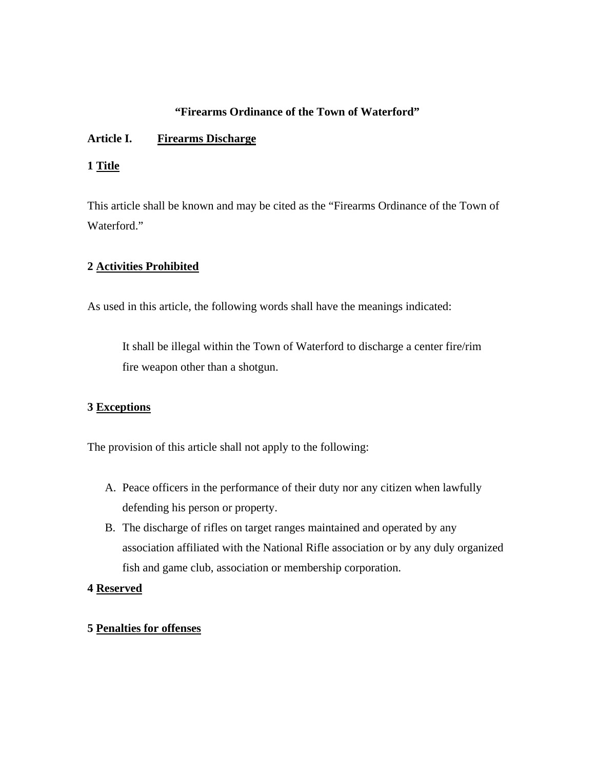## **"Firearms Ordinance of the Town of Waterford"**

## **Article I. Firearms Discharge**

## **1 Title**

This article shall be known and may be cited as the "Firearms Ordinance of the Town of Waterford."

## **2 Activities Prohibited**

As used in this article, the following words shall have the meanings indicated:

 It shall be illegal within the Town of Waterford to discharge a center fire/rim fire weapon other than a shotgun.

## **3 Exceptions**

The provision of this article shall not apply to the following:

- A. Peace officers in the performance of their duty nor any citizen when lawfully defending his person or property.
- B. The discharge of rifles on target ranges maintained and operated by any association affiliated with the National Rifle association or by any duly organized fish and game club, association or membership corporation.

### **4 Reserved**

# **5 Penalties for offenses**